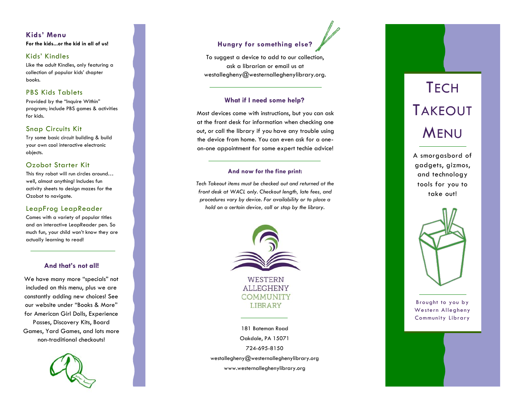# **Kids' Menu For the kids...or the kid in all of us!**

### Kids' Kindles

Like the adult Kindles, only featuring a collection of popular kids' chapter books.

### PBS Kids Tablets

Provided by the "Inquire Within" program; include PBS games & activities for kids.

### Snap Circuits Kit

Try some basic circuit building & build your own cool interactive electronic objects.

### Ozobot Starter Kit

This tiny robot will run circles around… well, almost anything! Includes fun activity sheets to design mazes for the Ozobot to navigate.

### LeapFrog LeapReader

Comes with a variety of popular titles and an interactive LeapReader pen. So much fun, your child won't know they are actually learning to read!

### **And that's not all!**

We have many more "specials" not included on this menu, plus we are constantly adding new choices! See our website under "Books & More" for American Girl Dolls, Experience Passes, Discovery Kits, Board Games, Yard Games, and lots more non -traditional checkouts!



# **Hungry for something else?**

To suggest a device to add to our collection, ask a librarian or email us at westallegheny@westernalleghenylibrary.org.

### **What if I need some help?**

Most devices come with instructions, but you can ask at the front desk for information when checking one out, or call the library if you have any trouble using the device from home. You can even ask for a one on -one appointment for some expert techie advice!

### **And now for the fine print:**

*Tech Takeout items must be checked out and returned at the front desk at WACL only. Checkout length, late fees, and procedures vary by device. For availability or to place a hold on a certain device, call or stop by the library.*



181 Bateman Road Oakdale, PA 15071 724 -695 -8150 westallegheny@westernalleghenylibrary.org www.westernalleghenylibrary.org

A smorgasbord of gadgets, gizmos, and technology tools for you to take out!



Brought to you by Western Allegheny